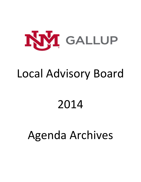

# Local Advisory Board

# 2014

# Agenda Archives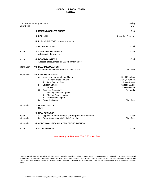| Wednesday, January 22, 2014<br>Six O'clock |                                                                                                                                                                                                                                                                                                                                                                                    | Gallup<br><b>DCR</b>                                                                                                        |
|--------------------------------------------|------------------------------------------------------------------------------------------------------------------------------------------------------------------------------------------------------------------------------------------------------------------------------------------------------------------------------------------------------------------------------------|-----------------------------------------------------------------------------------------------------------------------------|
|                                            | <b>I. MEETING CALL TO ORDER</b>                                                                                                                                                                                                                                                                                                                                                    | Chair                                                                                                                       |
|                                            | <b>II. ROLL CALL</b>                                                                                                                                                                                                                                                                                                                                                               | <b>Recording Secretary</b>                                                                                                  |
|                                            | III. PUBLIC INPUT (15 minutes maximum)                                                                                                                                                                                                                                                                                                                                             |                                                                                                                             |
|                                            | IV. INTRODUCTIONS                                                                                                                                                                                                                                                                                                                                                                  | Chair                                                                                                                       |
| Action                                     | V. APPROVAL OF AGENDA<br>Additions to the Agenda                                                                                                                                                                                                                                                                                                                                   | Chair                                                                                                                       |
| Action                                     | <b>VI. BOARD BUSINESS</b><br>Adoption of November 20, 2013 Board Minutes                                                                                                                                                                                                                                                                                                           | Chair                                                                                                                       |
| Information                                | <b>VII. BOARD EDUCATION</b><br>General Information on Educare, Donors, etc.                                                                                                                                                                                                                                                                                                        | Chris Dyer                                                                                                                  |
| Information                                | <b>VIII. CAMPUS REPORTS</b><br>А.<br>Instruction and Academic Affairs<br><b>Faculty Senate Minutes</b><br>i.<br>ii.<br>Zuni Campus Report<br><b>Student Services</b><br>В.<br><b>MCHS</b><br>i.<br>С.<br><b>Business Operations</b><br>Monthly Financial Update<br>i.<br><b>Monthly Grants Update</b><br>ii.<br><b>Endowment Report</b><br>iii.<br><b>Executive Director</b><br>D. | Neal Mangham<br>Carolyn Kuchera<br><b>Bruce Klewer</b><br>Suzette Wyaco<br>Wally Feldman<br><b>Tim Martin</b><br>Chris Dyer |
| Information                                | IX. OLD BUSINESS<br>None                                                                                                                                                                                                                                                                                                                                                           |                                                                                                                             |
| Action<br>Information<br>Information       | <b>X. NEW BUSINESS</b><br>Approval of Board Support of Energizing the Workforce<br>А.<br>В.<br>Donor Appreciation / Capital Campaign<br>XI. ADDITIONAL ITEMS PLACED ON THE AGENDA                                                                                                                                                                                                  | Chair<br>Chris Dyer                                                                                                         |
| Action                                     | XII. ADJOURNMENT                                                                                                                                                                                                                                                                                                                                                                   | Chair                                                                                                                       |

*Next Meeting on February 26 at 6:00 pm at Zuni*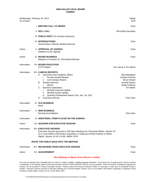| Six O'clock | Wednesday, February 26, 2014                                                                                                                                                                                                                                                                                                                                                                     | Gallup<br><b>DCR</b>                                                                                                        |
|-------------|--------------------------------------------------------------------------------------------------------------------------------------------------------------------------------------------------------------------------------------------------------------------------------------------------------------------------------------------------------------------------------------------------|-----------------------------------------------------------------------------------------------------------------------------|
|             | I. MEETING CALL TO ORDER                                                                                                                                                                                                                                                                                                                                                                         | Chair                                                                                                                       |
|             | <b>II. ROLL CALL</b>                                                                                                                                                                                                                                                                                                                                                                             | <b>Recording Secretary</b>                                                                                                  |
|             | III. PUBLIC INPUT (15 minutes maximum)                                                                                                                                                                                                                                                                                                                                                           |                                                                                                                             |
|             | <b>IV. INTRODUCTIONS</b><br>Jeanne Baca, Director Student Services                                                                                                                                                                                                                                                                                                                               | Chair                                                                                                                       |
| Action      | <b>V. APPROVAL OF AGENDA</b><br>Additions to the Agenda                                                                                                                                                                                                                                                                                                                                          | Chair                                                                                                                       |
| Action      | <b>VI. BOARD BUSINESS</b><br>Adoption of January 22, 2014 Board Minutes                                                                                                                                                                                                                                                                                                                          | Chair                                                                                                                       |
| Information | <b>VII. BOARD EDUCATION</b><br><b>CCTE Report</b>                                                                                                                                                                                                                                                                                                                                                | Ann Jarvis & Tim Martin                                                                                                     |
| Information | <b>VIII. CAMPUS REPORTS</b><br>Instruction and Academic Affairs<br>А.<br><b>Faculty Senate Minutes</b><br>i.<br>Zuni Campus Report<br>н.<br><b>Student Services</b><br>В.<br><b>MCHS</b><br>i.<br>C.<br><b>Business Operations</b><br>Monthly Financial Update<br>i.<br>Monthly Grants Update<br>ii.<br>Quarterly Endowment Report (Jan, Apr, Jul, Oct)<br>Ш.<br><b>Executive Director</b><br>D. | Neal Mangham<br>Carolyn Kuchera<br><b>Bruce Klewer</b><br>Suzette Wyaco<br>Wally Feldman<br><b>Tim Martin</b><br>Chris Dyer |
| Information | IX. OLD BUSINESS<br>None                                                                                                                                                                                                                                                                                                                                                                         |                                                                                                                             |
| Information | <b>X. NEW BUSINESS</b><br><b>Nursing Accreditation</b>                                                                                                                                                                                                                                                                                                                                           | Chris Dyer                                                                                                                  |
| Information | XI. ADDITIONAL ITEMS PLACED ON THE AGENDA                                                                                                                                                                                                                                                                                                                                                        |                                                                                                                             |
| Action      | XII. ADJOURN FOR EXECUTIVE SESSION                                                                                                                                                                                                                                                                                                                                                               | Chair                                                                                                                       |
| Information | <b>XIII. EXECUTIVE SESSION</b><br>Executive Session pursuant to NM Open Meeting Act; Personnel Matter, Section 10-<br>15-1-H.(2) NMSA 1978 and/or Acquisition or Disposal of Real Property or Water<br>Rights, Section 10-15-1-H.(8), NMSA 1978.                                                                                                                                                 |                                                                                                                             |
|             | INVITE THE PUBLIC BACK INTO THE MEETING                                                                                                                                                                                                                                                                                                                                                          |                                                                                                                             |
| Information | XIV. RECONVENE FROM EXECUTIVE SESSION                                                                                                                                                                                                                                                                                                                                                            | Chair                                                                                                                       |
| Action      | <b>XV. ADJOURNMENT</b>                                                                                                                                                                                                                                                                                                                                                                           | Chair                                                                                                                       |

### *Next Meeting on March 26 at 6:00 pm in Gallup*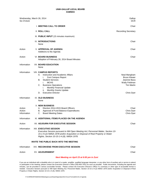| Wednesday, March 26, 2014<br>Six O'clock       |                                                                                                                                                                                                                                                                                                  | Gallup<br><b>DCR</b>                                                                                    |
|------------------------------------------------|--------------------------------------------------------------------------------------------------------------------------------------------------------------------------------------------------------------------------------------------------------------------------------------------------|---------------------------------------------------------------------------------------------------------|
|                                                | I. MEETING CALL TO ORDER                                                                                                                                                                                                                                                                         | Chair                                                                                                   |
|                                                | <b>II. ROLL CALL</b>                                                                                                                                                                                                                                                                             | <b>Recording Secretary</b>                                                                              |
|                                                | III. PUBLIC INPUT (15 minutes maximum)                                                                                                                                                                                                                                                           |                                                                                                         |
|                                                | <b>IV. INTRODUCTIONS</b><br>None                                                                                                                                                                                                                                                                 | Chair                                                                                                   |
| Action                                         | <b>V. APPROVAL OF AGENDA</b><br>Additions to the Agenda                                                                                                                                                                                                                                          | Chair                                                                                                   |
| Action                                         | <b>VI. BOARD BUSINESS</b><br>Adoption of February 26, 2014 Board Minutes                                                                                                                                                                                                                         | Chair                                                                                                   |
| Information                                    | <b>VII. BOARD EDUCATION</b><br>None                                                                                                                                                                                                                                                              |                                                                                                         |
| Information                                    | <b>VIII. CAMPUS REPORTS</b><br>Instruction and Academic Affairs<br>А.<br>Zuni Campus Report<br>i.<br><b>Student Services</b><br>В.<br><b>MCHS</b><br>i.<br><b>Business Operations</b><br>C.<br>Monthly Financial Update<br>i.<br>Monthly Grants Update<br>ii.<br><b>Executive Director</b><br>D. | Neal Mangham<br><b>Bruce Klewer</b><br>Jeannie Baca<br>Wally Feldman<br><b>Tim Martin</b><br>Chris Dyer |
| Information                                    | IX. OLD BUSINESS<br>None                                                                                                                                                                                                                                                                         |                                                                                                         |
| Action<br>Action<br>Information<br>Information | <b>X. NEW BUSINESS</b><br>Election 2014-2015 Board Officers<br>А.<br>В.<br>Approval of Fund Balance Expenditures<br>C.<br><b>Board Meeting Dates</b><br>XI. ADDITIONAL ITEMS PLACED ON THE AGENDA                                                                                                | Chair<br>Chris Dyer<br>Chris Dyer                                                                       |
| Action                                         | XII. ADJOURN FOR EXECUTIVE SESSION                                                                                                                                                                                                                                                               | Chair                                                                                                   |
| Information                                    | XIII. EXECUTIVE SESSION<br>Executive Session pursuant to NM Open Meeting Act; Personnel Matter, Section 10-<br>15-1-H.(2) NMSA 1978 and/or Acquisition or Disposal of Real Property or Water<br>Rights, Section 10-15-1-H.(8), NMSA 1978.                                                        |                                                                                                         |
|                                                | INVITE THE PUBLIC BACK INTO THE MEETING                                                                                                                                                                                                                                                          |                                                                                                         |
| Information                                    | XIV. RECONVENE FROM EXECUTIVE SESSION                                                                                                                                                                                                                                                            | Chair                                                                                                   |
| Action                                         | <b>XV. ADJOURNMENT</b>                                                                                                                                                                                                                                                                           | Chair                                                                                                   |

# *Next Meeting on April 23 at 6:00 pm in Zuni*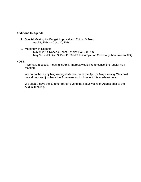# **Additions to Agenda**

- 1. Special Meeting for Budget Approval and Tuition & Fees April 9, 2014 or April 10, 2014
- 2. Meeting with Regents

May 9, 2014 Roberts Room Scholes Hall 2:00 pm May 9 UNMG Gym 9:15 – 11:00 MCHS Completion Ceremony then drive to ABQ

# NOTE:

If we have a special meeting in April, Theresa would like to cancel the regular April meeting.

We do not have anything we regularly discuss at the April or May meeting. We could cancel both and just have the June meeting to close out this academic year.

We usually have the summer retreat during the first 2 weeks of August prior to the August meeting.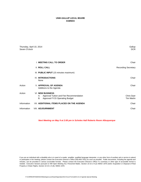| Thursday, April 10, 2014<br>Seven O'clock |                                                                                                                  | Gallup<br><b>DCR</b>            |
|-------------------------------------------|------------------------------------------------------------------------------------------------------------------|---------------------------------|
|                                           | <b>I. MEETING CALL TO ORDER</b>                                                                                  | Chair                           |
|                                           | <b>II. ROLL CALL</b>                                                                                             | <b>Recording Secretary</b>      |
|                                           | III. PUBLIC INPUT (15 minutes maximum)                                                                           |                                 |
|                                           | <b>IV. INTRODUCTIONS</b><br>None                                                                                 | Chair                           |
| Action                                    | <b>V. APPROVAL OF AGENDA</b><br>Additions to the Agenda                                                          | Chair                           |
| Action                                    | <b>VI. NEW BUSINESS</b><br>Approval Tuition and Fee Recommendation<br>А.<br>Approval FY15 Operating Budget<br>В. | Chris Dyer<br><b>Tim Martin</b> |
| Information                               | VII. ADDITIONAL ITEMS PLACED ON THE AGENDA                                                                       | Chair                           |
| Information                               | <b>VIII. ADJOURNMENT</b>                                                                                         | Chair                           |
|                                           |                                                                                                                  |                                 |

*Next Meeting on May 9 at 2:00 pm in Scholes Hall Roberts Room Albuquerque*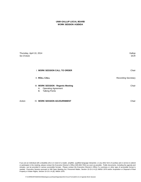# **UNM-GALLUP LOCAL BOARD WORK SESSION AGENDA**

| Thursday, April 10, 2014<br>Six O'clock |                                                                                            | Gallup<br><b>DCR</b>       |
|-----------------------------------------|--------------------------------------------------------------------------------------------|----------------------------|
|                                         | <b>I. WORK SESSION CALL TO ORDER</b>                                                       | Chair                      |
| <b>II. ROLL CALL</b>                    |                                                                                            | <b>Recording Secretary</b> |
| А.<br>В.                                | III. WORK SESSION - Regents Meeting<br><b>Operating Agreement</b><br><b>Talking Points</b> | Chair                      |
| Action                                  | IV. WORK SESSION ADJOURNMENT                                                               | Chair                      |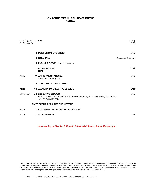# **UNM-GALLUP SPECIAL LOCAL BOARD MEETING AGENDA**

| Thursday, April 23, 2014<br>Six O'clock PM |                                                                                                                                             | Gallup<br><b>DCR</b>       |
|--------------------------------------------|---------------------------------------------------------------------------------------------------------------------------------------------|----------------------------|
|                                            | <b>I. MEETING CALL TO ORDER</b>                                                                                                             | Chair                      |
|                                            | <b>II. ROLL CALL</b>                                                                                                                        | <b>Recording Secretary</b> |
|                                            | III. PUBLIC INPUT (15 minutes maximum)                                                                                                      |                            |
|                                            | <b>IV. INTRODUCTIONS</b><br>None                                                                                                            | Chair                      |
| Action                                     | <b>V. APPROVAL OF AGENDA</b><br>Additions to the Agenda                                                                                     | Chair                      |
|                                            | <b>VI. ADDITIONS TO THE AGENDA</b>                                                                                                          |                            |
| Action                                     | <b>VII. ADJOURN TO EXECUTIVE SESSION</b>                                                                                                    | Chair                      |
| Information                                | <b>VIII. EXECUTIVE SESSION</b><br>Executive Session pursuant to NM Open Meeting Act; Personnel Matter, Section 10-<br>15-1-H.(2) NMSA 1978. | Chair                      |
|                                            | <b>INVITE PUBLIC BACK INTO THE MEETING</b>                                                                                                  |                            |
| Action                                     | IX. RECONVENE FROM EXECUTIVE SESSION                                                                                                        |                            |
| Action                                     | X. ADJOURNMENT                                                                                                                              | Chair                      |

*Next Meeting on May 9 at 2:00 pm in Scholes Hall Roberts Room Albuquerque*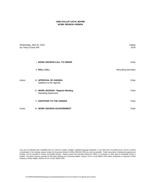# **UNM-GALLUP LOCAL BOARD WORK SESSION AGENDA**

| Wednesday, April 23, 2014<br>Six Thirty O'clock PM |                                                                  | Gallup<br><b>DCR</b>       |
|----------------------------------------------------|------------------------------------------------------------------|----------------------------|
|                                                    | <b>I. WORK SESSION CALL TO ORDER</b>                             | Chair                      |
|                                                    | <b>II. ROLL CALL</b>                                             | <b>Recording Secretary</b> |
| Action                                             | III. APPROVAL OF AGENDA<br>Additions to the Agenda               | Chair                      |
|                                                    | IV. WORK SESSION - Regents Meeting<br><b>Operating Agreement</b> | Chair                      |
|                                                    | <b>V. ADDITIONS TO THE AGENDA</b>                                | Chair                      |
| Action                                             | <b>VI. WORK SESSION ADJOURNMENT</b>                              | Chair                      |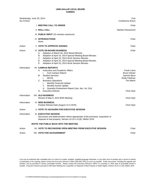| Wednesday, June 25, 2014<br>Six O'clock |                                                                                                                                                                                                                                                                                                                                                                   | Zuni<br>Conference Room                                                                                |
|-----------------------------------------|-------------------------------------------------------------------------------------------------------------------------------------------------------------------------------------------------------------------------------------------------------------------------------------------------------------------------------------------------------------------|--------------------------------------------------------------------------------------------------------|
|                                         | I. MEETING CALL TO ORDER                                                                                                                                                                                                                                                                                                                                          | Chair                                                                                                  |
|                                         | <b>II. ROLL CALL</b>                                                                                                                                                                                                                                                                                                                                              | Marilee Petranovich                                                                                    |
|                                         | III. PUBLIC INPUT (15 minutes maximum)                                                                                                                                                                                                                                                                                                                            |                                                                                                        |
|                                         | <b>IV. INTRODUCTIONS</b><br>None                                                                                                                                                                                                                                                                                                                                  | Chair                                                                                                  |
| Action                                  | <b>V. VOTE TO APPROVE AGENDA</b>                                                                                                                                                                                                                                                                                                                                  | Chair                                                                                                  |
| Action                                  | <b>VI. VOTE ON BOARD BUSINESS</b><br>Adoption of March 26, 2014 Board Minutes<br>А.<br>В.<br>Adoption of April 10, 2014 Special Meeting Board Minutes<br>C. Adoption of April 10, 2014 Work Session Minutes<br>Adoption of April 23, 2014 Special Meeting Board Minutes<br>D.<br>Е.<br>Adoption of April 23, 2014 Work Session Minutes                            | Chair                                                                                                  |
| Information                             | <b>VII. CAMPUS REPORTS</b><br>Instruction and Academic Affairs<br>А.<br>Zuni Campus Report<br>i.<br><b>Student Services</b><br>В.<br><b>MCHS</b><br>İ.<br>C.<br><b>Business Operations</b><br>Monthly Financial Update<br>i.<br>ii.<br><b>Monthly Grants Update</b><br>Quarterly Endowment Report (Jan, Apr, Jul, Oct)<br>iii.<br><b>Executive Director</b><br>D. | Frank Loera<br><b>Bruce Klewer</b><br>Jeannie Baca<br>Wally Feldman<br><b>Tim Martin</b><br>Chris Dyer |
| Information                             | <b>VIII. OLD BUSINESS</b><br>Review of May 9, 2014 BOR Meeting                                                                                                                                                                                                                                                                                                    | Chris Dyer                                                                                             |
| Information                             | <b>IX. NEW BUSINESS</b><br>Finalize Retreat Date (August 14 in DCR)                                                                                                                                                                                                                                                                                               | Chris Dyer                                                                                             |
| Action                                  | X. VOTE TO ADJOURN FOR EXECUTIVE SESSION                                                                                                                                                                                                                                                                                                                          |                                                                                                        |
| Information                             | <b>XI. EXECUTIVE SESSION</b><br>Discussion and determination where appropriate of the purchase, acquisition or<br>disposal of real property, Section 10-15-1-H.(8), NMSA 1978.                                                                                                                                                                                    |                                                                                                        |
|                                         | <b>INVITE THE PUBLIC BACK INTO THE MEETING</b>                                                                                                                                                                                                                                                                                                                    |                                                                                                        |
| Action                                  | XII. VOTE TO RECONVENE OPEN MEETING FROM EXECUTIVE SESSION                                                                                                                                                                                                                                                                                                        | Chair                                                                                                  |
| Action                                  | XIII. VOTE FOR ADJOURNMENT                                                                                                                                                                                                                                                                                                                                        | Chair                                                                                                  |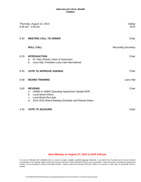|      | Thursday, August 14, 2014<br>8:30 am - 3:30 pm                                                                                                                                                                               | Gallup<br><b>DCR</b>       |
|------|------------------------------------------------------------------------------------------------------------------------------------------------------------------------------------------------------------------------------|----------------------------|
| 8:30 | <b>MEETING CALL TO ORDER</b>                                                                                                                                                                                                 | Chair                      |
|      | <b>ROLL CALL</b>                                                                                                                                                                                                             | <b>Recording Secretary</b> |
| 8:33 | <b>INTRODUCTION</b><br>Dr. Niaz Ahmed, Dean of Instruction<br>a.<br>Larry Halt, President Larry Halt International<br>b.                                                                                                     | Chair                      |
| 8:35 | <b>VOTE TO APPROVE AGENDA</b>                                                                                                                                                                                                | Chair                      |
| 8:38 | <b>BOARD TRAINING</b>                                                                                                                                                                                                        | Larry Halt                 |
| 3:00 | <b>REVIEWS</b><br><b>UNMG &amp; UNMA Operating Agreement Update BOR</b><br>a.<br><b>Local Board Ethics</b><br>b <sub>1</sub><br><b>Local Board By-Laws</b><br>c.<br>2014-2015 Board Meeting Schedule and Retreat Dates<br>d. | Chair                      |
| 3:30 | <b>VOTE TO ADJOURN</b>                                                                                                                                                                                                       | Chair                      |

# *Next Meeting on August 27, 2014 in DCR 6:00 pm*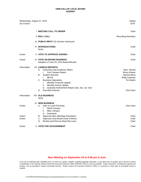| Six O'clock      | Wednesday, August 27, 2014                                                                                                                                                                                                                                                                                                                                 | Gallup<br>DCR.                                                                                        |
|------------------|------------------------------------------------------------------------------------------------------------------------------------------------------------------------------------------------------------------------------------------------------------------------------------------------------------------------------------------------------------|-------------------------------------------------------------------------------------------------------|
|                  | I. MEETING CALL TO ORDER                                                                                                                                                                                                                                                                                                                                   | Chair                                                                                                 |
|                  | <b>II. ROLL CALL</b>                                                                                                                                                                                                                                                                                                                                       | <b>Recording Secretary</b>                                                                            |
|                  | III. PUBLIC INPUT (15 minutes maximum)                                                                                                                                                                                                                                                                                                                     |                                                                                                       |
|                  | <b>IV. INTRODUCTIONS</b><br>None                                                                                                                                                                                                                                                                                                                           | Chair                                                                                                 |
| Action           | <b>V. VOTE TO APPROVE AGENDA</b>                                                                                                                                                                                                                                                                                                                           | Chair                                                                                                 |
| Action           | <b>VI. VOTE ON BOARD BUSINESS</b><br>Adoption of June 25, 2014 Board Minutes                                                                                                                                                                                                                                                                               | Chair                                                                                                 |
| Information      | <b>VII. CAMPUS REPORTS</b><br>Instruction and Academic Affairs<br>А.<br>i.<br>Zuni Campus Report<br><b>Student Services</b><br>В.<br><b>MCHS</b><br>i.<br><b>Business Operations</b><br>C.<br>Monthly Financial Update<br>i.<br>Monthly Grants Update<br>ii.<br>Quarterly Endowment Report (Jan, Apr, Jul, Oct)<br>iii.<br><b>Executive Director</b><br>D. | Niaz Ahmed<br><b>Bruce Klewer</b><br>Jeannie Baca<br>Wally Feldman<br><b>Tim Martin</b><br>Chris Dyer |
| Information      | <b>VIII. OLD BUSINESS</b><br>None                                                                                                                                                                                                                                                                                                                          |                                                                                                       |
| Action           | IX. NEW BUSINESS<br>Vote on Land Purchase<br>А.<br>i.<br>North Campus<br>ii.<br>Main Campus<br>Downtown<br>iii.                                                                                                                                                                                                                                            | Chris Dyer                                                                                            |
| Action<br>Action | <b>Approval Open Meetings Resolution</b><br>В.<br>C. Approval Local Board Code of Ethics<br>Review and Discuss Board By-Laws<br>D.                                                                                                                                                                                                                         | Chair<br>Chair<br>Chair                                                                               |
| Action           | X. VOTE FOR ADJOURNMENT                                                                                                                                                                                                                                                                                                                                    | Chair                                                                                                 |

# *Next Meeting on September 24 at 6:00 pm in Zuni*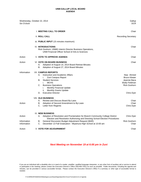| Wednesday, October 22, 2014<br>Six O'clock |                                                                                                                                                                                                                                                                                                                             | Gallup<br><b>DCR</b>                                                                                    |
|--------------------------------------------|-----------------------------------------------------------------------------------------------------------------------------------------------------------------------------------------------------------------------------------------------------------------------------------------------------------------------------|---------------------------------------------------------------------------------------------------------|
|                                            | <b>I. MEETING CALL TO ORDER</b>                                                                                                                                                                                                                                                                                             | Chair                                                                                                   |
|                                            | <b>II. ROLL CALL</b>                                                                                                                                                                                                                                                                                                        | <b>Recording Secretary</b>                                                                              |
|                                            | III. PUBLIC INPUT (15 minutes maximum)                                                                                                                                                                                                                                                                                      |                                                                                                         |
|                                            | <b>IV. INTRODUCTIONS</b><br>Rick Goshorn, UNMG Interim Director Business Operations,<br>UNM Financial Officer School of Arts & Sciences                                                                                                                                                                                     | Chair                                                                                                   |
| Action                                     | V. VOTE TO APPROVE AGENDA                                                                                                                                                                                                                                                                                                   | Chair                                                                                                   |
| Action                                     | <b>VI. VOTE ON BOARD BUSINESS</b><br>Adoption of August 14, 2014 Board Retreat Minutes<br>А.<br>Adoption of August 27, 2014 Board Minutes<br>В.                                                                                                                                                                             | Chair                                                                                                   |
| Information                                | <b>VII. CAMPUS REPORTS</b><br>Instruction and Academic Affairs<br>А.<br>i.<br>Zuni Campus Report<br><b>Student Services</b><br>В.<br><b>MCHS</b><br>i.<br>C.<br><b>Business Operations</b><br>Monthly Financial Update<br>Τ.<br><b>Monthly Grants Update</b><br>ii.<br><b>Executive Director</b><br>D.                      | Niaz Ahmed<br><b>Bruce Klewer</b><br>Jeannie Baca<br>Wally Feldman<br><b>Rick Goshorn</b><br>Chris Dyer |
| Action                                     | <b>VIII. OLD BUSINESS</b><br>Review and Discuss Board By-Laws<br>А.<br>В.<br>Adoption of Second Amendment to By-Laws<br>С.<br>Letter from Regents                                                                                                                                                                           | Chair<br>Chair<br>Chris Dyer                                                                            |
| Action<br>Information<br>Information       | IX. NEW BUSINESS<br>Adoption of Resolution and Proclamation for Branch Community College District<br>А.<br>Election and Resolution Authorizing and Directing School Election Procedures<br>В.<br>General Discussion Budget Adjustment Request (BAR)<br>C.<br>December 13 Fall Graduation - Miyamura High School at 10:00 am | Chris Dyer<br><b>Rick Goshorn</b><br>Chair                                                              |
| Action                                     | X. VOTE FOR ADJOURNMENT                                                                                                                                                                                                                                                                                                     | Chair                                                                                                   |

# *Next Meeting on November 19 at 6:00 pm in Zuni*